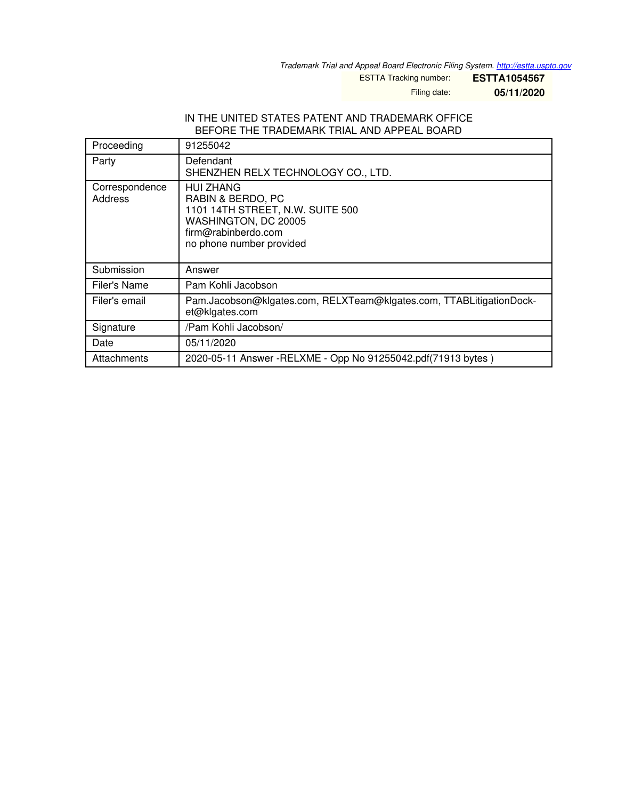*Trademark Trial and Appeal Board Electronic Filing System. <http://estta.uspto.gov>*

ESTTA Tracking number: **ESTTA1054567**

Filing date: **05/11/2020**

#### IN THE UNITED STATES PATENT AND TRADEMARK OFFICE BEFORE THE TRADEMARK TRIAL AND APPEAL BOARD

| Proceeding                | 91255042                                                                                                                                             |
|---------------------------|------------------------------------------------------------------------------------------------------------------------------------------------------|
| Party                     | Defendant<br>SHENZHEN RELX TECHNOLOGY CO., LTD.                                                                                                      |
| Correspondence<br>Address | <b>HUI ZHANG</b><br>RABIN & BERDO, PC<br>1101 14TH STREET, N.W. SUITE 500<br>WASHINGTON, DC 20005<br>firm@rabinberdo.com<br>no phone number provided |
| Submission                | Answer                                                                                                                                               |
| Filer's Name              | Pam Kohli Jacobson                                                                                                                                   |
| Filer's email             | Pam.Jacobson@klgates.com, RELXTeam@klgates.com, TTABLitigationDock-<br>et@klgates.com                                                                |
| Signature                 | /Pam Kohli Jacobson/                                                                                                                                 |
| Date                      | 05/11/2020                                                                                                                                           |
| Attachments               | 2020-05-11 Answer -RELXME - Opp No 91255042.pdf(71913 bytes)                                                                                         |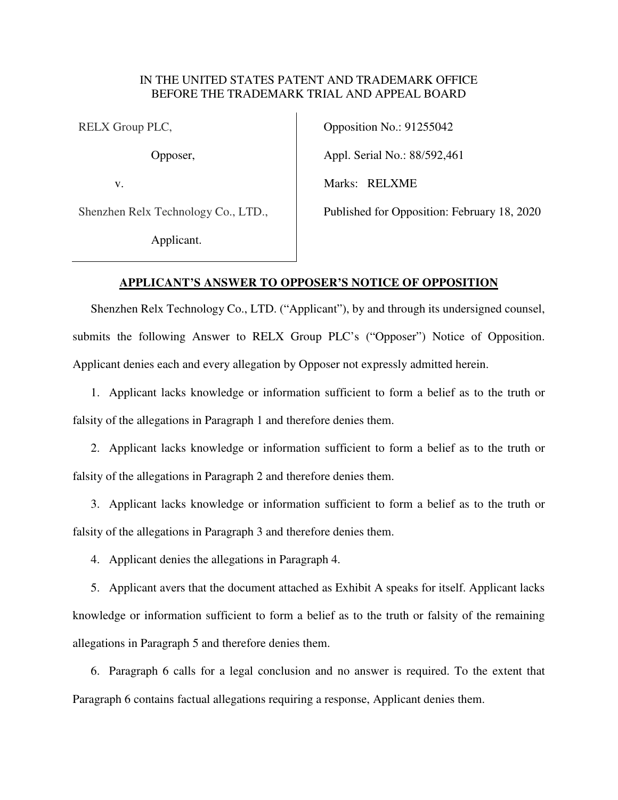### IN THE UNITED STATES PATENT AND TRADEMARK OFFICE BEFORE THE TRADEMARK TRIAL AND APPEAL BOARD

RELX Group PLC,

Opposer,

v.

Shenzhen Relx Technology Co., LTD.,

Applicant.

Opposition No.: 91255042 Appl. Serial No.: 88/592,461 Marks: RELXME Published for Opposition: February 18, 2020

### **APPLICANT'S ANSWER TO OPPOSER'S NOTICE OF OPPOSITION**

Shenzhen Relx Technology Co., LTD. ("Applicant"), by and through its undersigned counsel, submits the following Answer to RELX Group PLC's ("Opposer") Notice of Opposition. Applicant denies each and every allegation by Opposer not expressly admitted herein.

1. Applicant lacks knowledge or information sufficient to form a belief as to the truth or falsity of the allegations in Paragraph 1 and therefore denies them.

2. Applicant lacks knowledge or information sufficient to form a belief as to the truth or falsity of the allegations in Paragraph 2 and therefore denies them.

3. Applicant lacks knowledge or information sufficient to form a belief as to the truth or falsity of the allegations in Paragraph 3 and therefore denies them.

4. Applicant denies the allegations in Paragraph 4.

5. Applicant avers that the document attached as Exhibit A speaks for itself. Applicant lacks knowledge or information sufficient to form a belief as to the truth or falsity of the remaining allegations in Paragraph 5 and therefore denies them.

6. Paragraph 6 calls for a legal conclusion and no answer is required. To the extent that Paragraph 6 contains factual allegations requiring a response, Applicant denies them.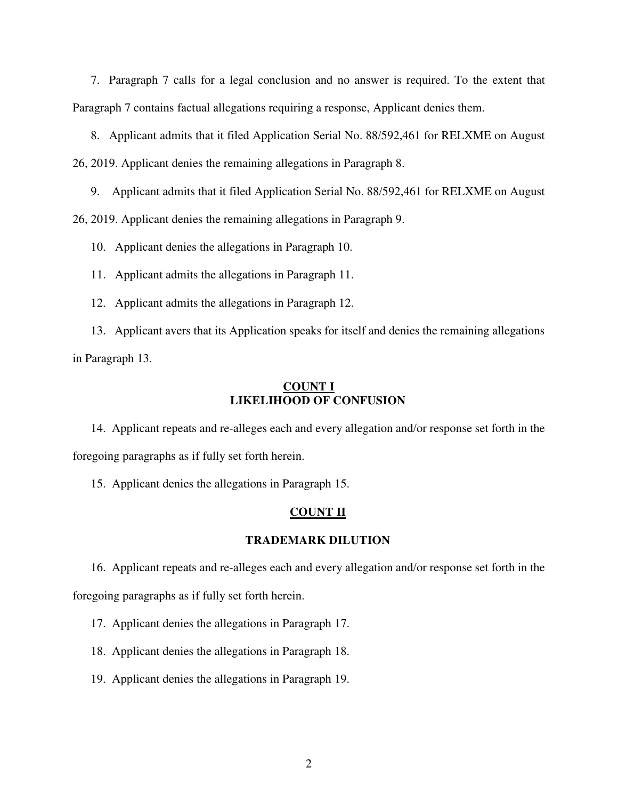7. Paragraph 7 calls for a legal conclusion and no answer is required. To the extent that Paragraph 7 contains factual allegations requiring a response, Applicant denies them.

8. Applicant admits that it filed Application Serial No. 88/592,461 for RELXME on August 26, 2019. Applicant denies the remaining allegations in Paragraph 8.

9. Applicant admits that it filed Application Serial No. 88/592,461 for RELXME on August

26, 2019. Applicant denies the remaining allegations in Paragraph 9.

10. Applicant denies the allegations in Paragraph 10.

11. Applicant admits the allegations in Paragraph 11.

12. Applicant admits the allegations in Paragraph 12.

13. Applicant avers that its Application speaks for itself and denies the remaining allegations in Paragraph 13.

#### **COUNT I LIKELIHOOD OF CONFUSION**

14. Applicant repeats and re-alleges each and every allegation and/or response set forth in the foregoing paragraphs as if fully set forth herein.

15. Applicant denies the allegations in Paragraph 15.

### **COUNT II**

### **TRADEMARK DILUTION**

16. Applicant repeats and re-alleges each and every allegation and/or response set forth in the foregoing paragraphs as if fully set forth herein.

17. Applicant denies the allegations in Paragraph 17.

18. Applicant denies the allegations in Paragraph 18.

19. Applicant denies the allegations in Paragraph 19.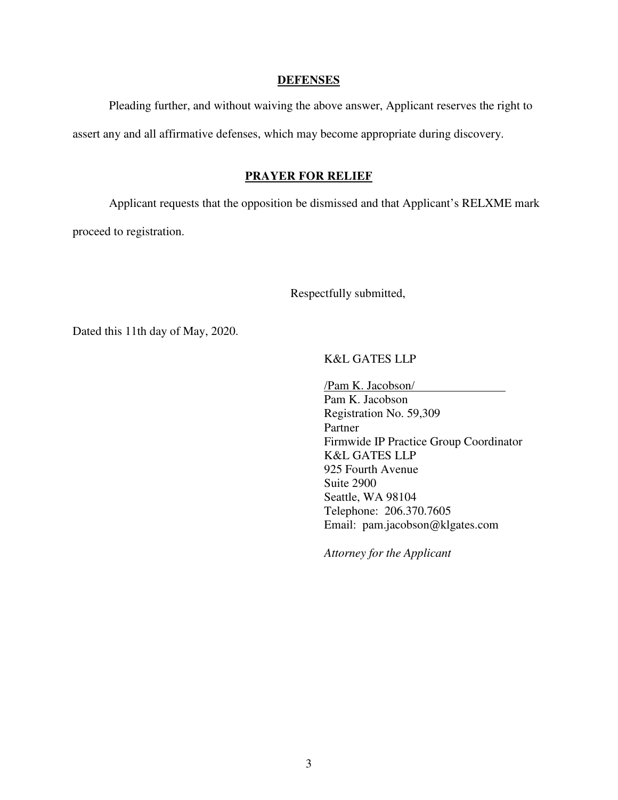#### **DEFENSES**

Pleading further, and without waiving the above answer, Applicant reserves the right to assert any and all affirmative defenses, which may become appropriate during discovery.

#### **PRAYER FOR RELIEF**

Applicant requests that the opposition be dismissed and that Applicant's RELXME mark proceed to registration.

Respectfully submitted,

Dated this 11th day of May, 2020.

## K&L GATES LLP

/Pam K. Jacobson/ Pam K. Jacobson Registration No. 59,309 Partner Firmwide IP Practice Group Coordinator K&L GATES LLP 925 Fourth Avenue Suite 2900 Seattle, WA 98104 Telephone: 206.370.7605 Email: pam.jacobson@klgates.com

*Attorney for the Applicant*